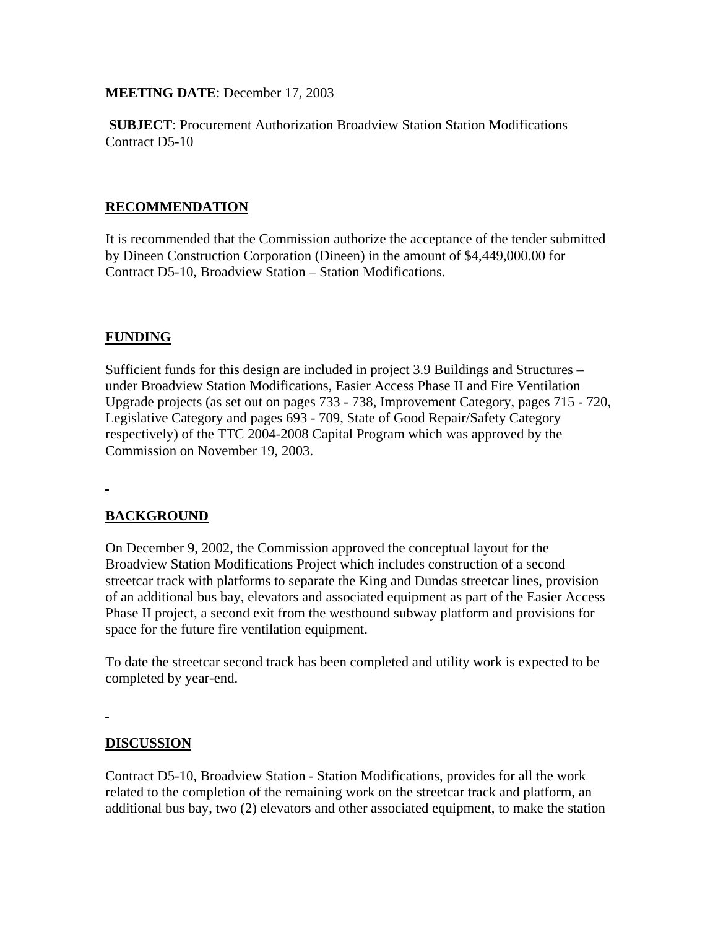**MEETING DATE**: December 17, 2003

**SUBJECT**: Procurement Authorization Broadview Station Station Modifications Contract D5-10

## **RECOMMENDATION**

It is recommended that the Commission authorize the acceptance of the tender submitted by Dineen Construction Corporation (Dineen) in the amount of \$4,449,000.00 for Contract D5-10, Broadview Station – Station Modifications.

### **FUNDING**

Sufficient funds for this design are included in project 3.9 Buildings and Structures – under Broadview Station Modifications, Easier Access Phase II and Fire Ventilation Upgrade projects (as set out on pages 733 - 738, Improvement Category, pages 715 - 720, Legislative Category and pages 693 - 709, State of Good Repair/Safety Category respectively) of the TTC 2004-2008 Capital Program which was approved by the Commission on November 19, 2003.

## **BACKGROUND**

On December 9, 2002, the Commission approved the conceptual layout for the Broadview Station Modifications Project which includes construction of a second streetcar track with platforms to separate the King and Dundas streetcar lines, provision of an additional bus bay, elevators and associated equipment as part of the Easier Access Phase II project, a second exit from the westbound subway platform and provisions for space for the future fire ventilation equipment.

To date the streetcar second track has been completed and utility work is expected to be completed by year-end.

### **DISCUSSION**

Contract D5-10, Broadview Station - Station Modifications, provides for all the work related to the completion of the remaining work on the streetcar track and platform, an additional bus bay, two (2) elevators and other associated equipment, to make the station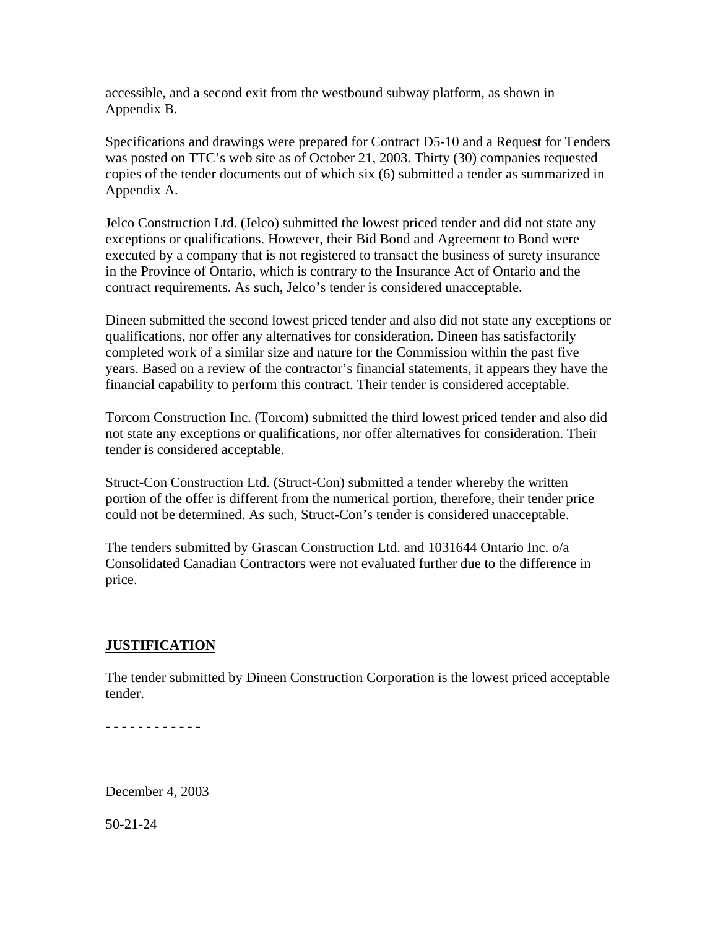accessible, and a second exit from the westbound subway platform, as shown in Appendix B.

Specifications and drawings were prepared for Contract D5-10 and a Request for Tenders was posted on TTC's web site as of October 21, 2003. Thirty (30) companies requested copies of the tender documents out of which six (6) submitted a tender as summarized in Appendix A.

Jelco Construction Ltd. (Jelco) submitted the lowest priced tender and did not state any exceptions or qualifications. However, their Bid Bond and Agreement to Bond were executed by a company that is not registered to transact the business of surety insurance in the Province of Ontario, which is contrary to the Insurance Act of Ontario and the contract requirements. As such, Jelco's tender is considered unacceptable.

Dineen submitted the second lowest priced tender and also did not state any exceptions or qualifications, nor offer any alternatives for consideration. Dineen has satisfactorily completed work of a similar size and nature for the Commission within the past five years. Based on a review of the contractor's financial statements, it appears they have the financial capability to perform this contract. Their tender is considered acceptable.

Torcom Construction Inc. (Torcom) submitted the third lowest priced tender and also did not state any exceptions or qualifications, nor offer alternatives for consideration. Their tender is considered acceptable.

Struct-Con Construction Ltd. (Struct-Con) submitted a tender whereby the written portion of the offer is different from the numerical portion, therefore, their tender price could not be determined. As such, Struct-Con's tender is considered unacceptable.

The tenders submitted by Grascan Construction Ltd. and 1031644 Ontario Inc. o/a Consolidated Canadian Contractors were not evaluated further due to the difference in price.

### **JUSTIFICATION**

The tender submitted by Dineen Construction Corporation is the lowest priced acceptable tender.

- - - - - - - - - - - -

December 4, 2003

50-21-24